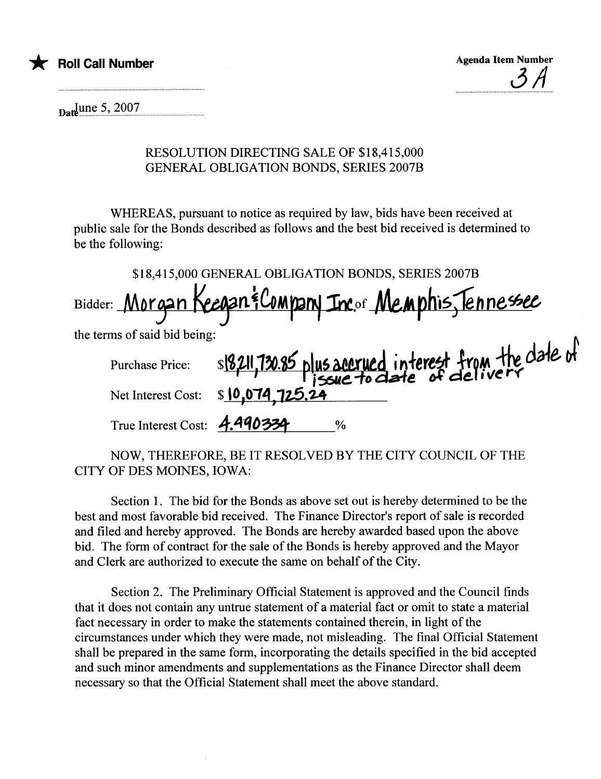



 $_{\text{Daft}}$  June 5, 2007

## RESOLUTION DIRECTING SALE OF \$18,415,000 **GENERAL OBLIGATION BONDS, SERIES 2007B**

WHEREAS, pursuant to notice as required by law, bids have been received at public sale for the Bonds described as follows and the best bid received is determined to be the following:

|                              | \$18,415,000 GENERAL OBLIGATION BONDS, SERIES 2007B                   |
|------------------------------|-----------------------------------------------------------------------|
|                              | Bidder: Morgan Keegan & Company Inc. of Memphis, Tennessee            |
| the terms of said bid being: |                                                                       |
|                              | Purchase Price: s18,211,730.85 plus accrued interest from the date of |
|                              |                                                                       |
| True Interest Cost: 4.490334 | $\%$                                                                  |

NOW, THEREFORE, BE IT RESOLVED BY THE CITY COUNCIL OF THE CITY OF DES MOINES, IOWA:

Section 1. The bid for the Bonds as above set out is hereby determined to be the best and most favorable bid received. The Finance Director's report of sale is recorded and filed and hereby approved. The Bonds are hereby awarded based upon the above bid. The form of contract for the sale of the Bonds is hereby approved and the Mayor and Clerk are authorized to execute the same on behalf of the City.

Section 2. The Preliminary Official Statement is approved and the Council finds that it does not contain any untrue statement of a material fact or omit to state a material fact necessary in order to make the statements contained therein, in light of the circumstances under which they were made, not misleading. The final Official Statement shall be prepared in the same form, incorporating the details specified in the bid accepted and such minor amendments and supplementations as the Finance Director shall deem necessary so that the Official Statement shall meet the above standard.